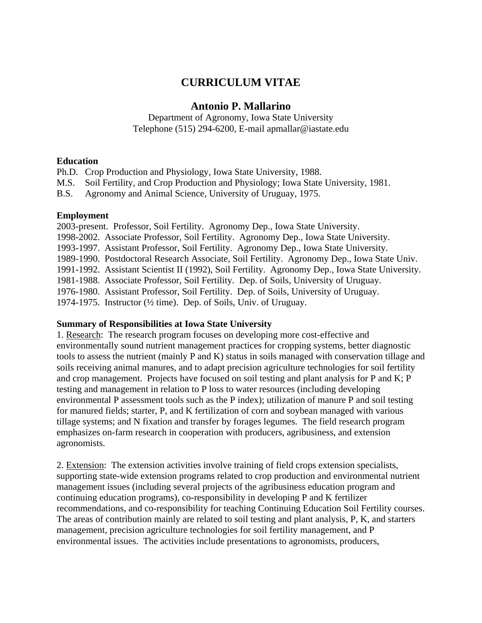# **CURRICULUM VITAE**

# **Antonio P. Mallarino**

Department of Agronomy, Iowa State University Telephone (515) 294-6200, E-mail apmallar@iastate.edu

## **Education**

Ph.D. Crop Production and Physiology, Iowa State University, 1988.

M.S. Soil Fertility, and Crop Production and Physiology; Iowa State University, 1981.

B.S. Agronomy and Animal Science, University of Uruguay, 1975.

## **Employment**

2003-present. Professor, Soil Fertility. Agronomy Dep., Iowa State University. 1998-2002. Associate Professor, Soil Fertility. Agronomy Dep., Iowa State University. 1993-1997. Assistant Professor, Soil Fertility. Agronomy Dep., Iowa State University. 1989-1990. Postdoctoral Research Associate, Soil Fertility. Agronomy Dep., Iowa State Univ. 1991-1992. Assistant Scientist II (1992), Soil Fertility. Agronomy Dep., Iowa State University. 1981-1988. Associate Professor, Soil Fertility. Dep. of Soils, University of Uruguay. 1976-1980. Assistant Professor, Soil Fertility. Dep. of Soils, University of Uruguay. 1974-1975. Instructor (½ time). Dep. of Soils, Univ. of Uruguay.

# **Summary of Responsibilities at Iowa State University**

1. Research: The research program focuses on developing more cost-effective and environmentally sound nutrient management practices for cropping systems, better diagnostic tools to assess the nutrient (mainly P and K) status in soils managed with conservation tillage and soils receiving animal manures, and to adapt precision agriculture technologies for soil fertility and crop management. Projects have focused on soil testing and plant analysis for P and K; P testing and management in relation to P loss to water resources (including developing environmental P assessment tools such as the P index); utilization of manure P and soil testing for manured fields; starter, P, and K fertilization of corn and soybean managed with various tillage systems; and N fixation and transfer by forages legumes. The field research program emphasizes on-farm research in cooperation with producers, agribusiness, and extension agronomists.

2. Extension: The extension activities involve training of field crops extension specialists, supporting state-wide extension programs related to crop production and environmental nutrient management issues (including several projects of the agribusiness education program and continuing education programs), co-responsibility in developing P and K fertilizer recommendations, and co-responsibility for teaching Continuing Education Soil Fertility courses. The areas of contribution mainly are related to soil testing and plant analysis, P, K, and starters management, precision agriculture technologies for soil fertility management, and P environmental issues. The activities include presentations to agronomists, producers,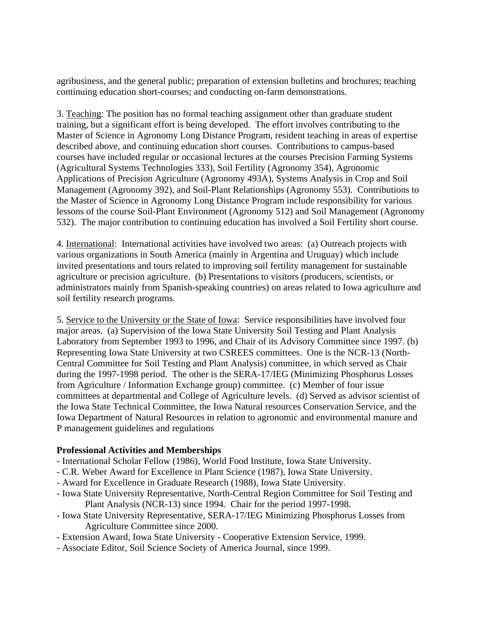agribusiness, and the general public; preparation of extension bulletins and brochures; teaching continuing education short-courses; and conducting on-farm demonstrations.

3. Teaching: The position has no formal teaching assignment other than graduate student training, but a significant effort is being developed. The effort involves contributing to the Master of Science in Agronomy Long Distance Program, resident teaching in areas of expertise described above, and continuing education short courses. Contributions to campus-based courses have included regular or occasional lectures at the courses Precision Farming Systems (Agricultural Systems Technologies 333), Soil Fertility (Agronomy 354), Agronomic Applications of Precision Agriculture (Agronomy 493A), Systems Analysis in Crop and Soil Management (Agronomy 392), and Soil-Plant Relationships (Agronomy 553). Contributions to the Master of Science in Agronomy Long Distance Program include responsibility for various lessons of the course Soil-Plant Environment (Agronomy 512) and Soil Management (Agronomy 532). The major contribution to continuing education has involved a Soil Fertility short course.

4. International: International activities have involved two areas: (a) Outreach projects with various organizations in South America (mainly in Argentina and Uruguay) which include invited presentations and tours related to improving soil fertility management for sustainable agriculture or precision agriculture. (b) Presentations to visitors (producers, scientists, or administrators mainly from Spanish-speaking countries) on areas related to Iowa agriculture and soil fertility research programs.

5. Service to the University or the State of Iowa: Service responsibilities have involved four major areas. (a) Supervision of the Iowa State University Soil Testing and Plant Analysis Laboratory from September 1993 to 1996, and Chair of its Advisory Committee since 1997. (b) Representing Iowa State University at two CSREES committees. One is the NCR-13 (North-Central Committee for Soil Testing and Plant Analysis) committee, in which served as Chair during the 1997-1998 period. The other is the SERA-17/IEG (Minimizing Phosphorus Losses from Agriculture / Information Exchange group) committee. (c) Member of four issue committees at departmental and College of Agriculture levels. (d) Served as advisor scientist of the Iowa State Technical Committee, the Iowa Natural resources Conservation Service, and the Iowa Department of Natural Resources in relation to agronomic and environmental manure and P management guidelines and regulations

#### **Professional Activities and Memberships**

- International Scholar Fellow (1986), World Food Institute, Iowa State University.
- C.R. Weber Award for Excellence in Plant Science (1987), Iowa State University.
- Award for Excellence in Graduate Research (1988), Iowa State University.
- Iowa State University Representative, North-Central Region Committee for Soil Testing and Plant Analysis (NCR-13) since 1994. Chair for the period 1997-1998.
- Iowa State University Representative, SERA-17/IEG Minimizing Phosphorus Losses from Agriculture Committee since 2000.
- Extension Award, Iowa State University Cooperative Extension Service, 1999.
- Associate Editor, Soil Science Society of America Journal, since 1999.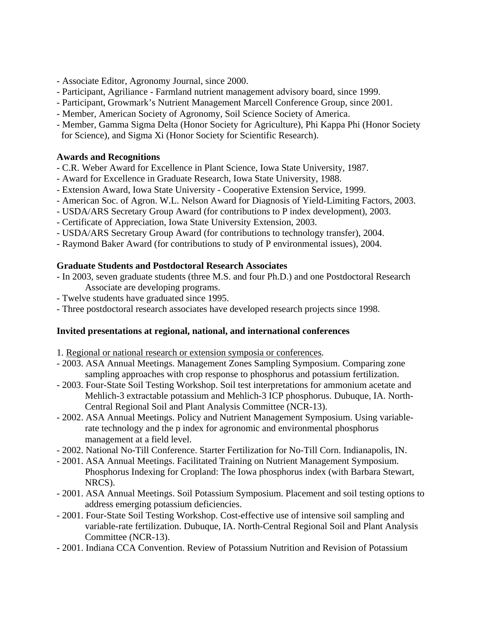- Associate Editor, Agronomy Journal, since 2000.
- Participant, Agriliance Farmland nutrient management advisory board, since 1999.
- Participant, Growmark's Nutrient Management Marcell Conference Group, since 2001.
- Member, American Society of Agronomy, Soil Science Society of America.
- Member, Gamma Sigma Delta (Honor Society for Agriculture), Phi Kappa Phi (Honor Society for Science), and Sigma Xi (Honor Society for Scientific Research).

### **Awards and Recognitions**

- C.R. Weber Award for Excellence in Plant Science, Iowa State University, 1987.
- Award for Excellence in Graduate Research, Iowa State University, 1988.
- Extension Award, Iowa State University Cooperative Extension Service, 1999.
- American Soc. of Agron. W.L. Nelson Award for Diagnosis of Yield-Limiting Factors, 2003.
- USDA/ARS Secretary Group Award (for contributions to P index development), 2003.
- Certificate of Appreciation, Iowa State University Extension, 2003.
- USDA/ARS Secretary Group Award (for contributions to technology transfer), 2004.
- Raymond Baker Award (for contributions to study of P environmental issues), 2004.

## **Graduate Students and Postdoctoral Research Associates**

- In 2003, seven graduate students (three M.S. and four Ph.D.) and one Postdoctoral Research Associate are developing programs.
- Twelve students have graduated since 1995.
- Three postdoctoral research associates have developed research projects since 1998.

# **Invited presentations at regional, national, and international conferences**

- 1. Regional or national research or extension symposia or conferences.
- 2003. ASA Annual Meetings. Management Zones Sampling Symposium. Comparing zone sampling approaches with crop response to phosphorus and potassium fertilization.
- 2003. Four-State Soil Testing Workshop. Soil test interpretations for ammonium acetate and Mehlich-3 extractable potassium and Mehlich-3 ICP phosphorus. Dubuque, IA. North-Central Regional Soil and Plant Analysis Committee (NCR-13).
- 2002. ASA Annual Meetings. Policy and Nutrient Management Symposium. Using variablerate technology and the p index for agronomic and environmental phosphorus management at a field level.
- 2002. National No-Till Conference. Starter Fertilization for No-Till Corn. Indianapolis, IN.
- 2001. ASA Annual Meetings. Facilitated Training on Nutrient Management Symposium. Phosphorus Indexing for Cropland: The Iowa phosphorus index (with Barbara Stewart, NRCS).
- 2001. ASA Annual Meetings. Soil Potassium Symposium. Placement and soil testing options to address emerging potassium deficiencies.
- 2001. Four-State Soil Testing Workshop. Cost-effective use of intensive soil sampling and variable-rate fertilization. Dubuque, IA. North-Central Regional Soil and Plant Analysis Committee (NCR-13).
- 2001. Indiana CCA Convention. Review of Potassium Nutrition and Revision of Potassium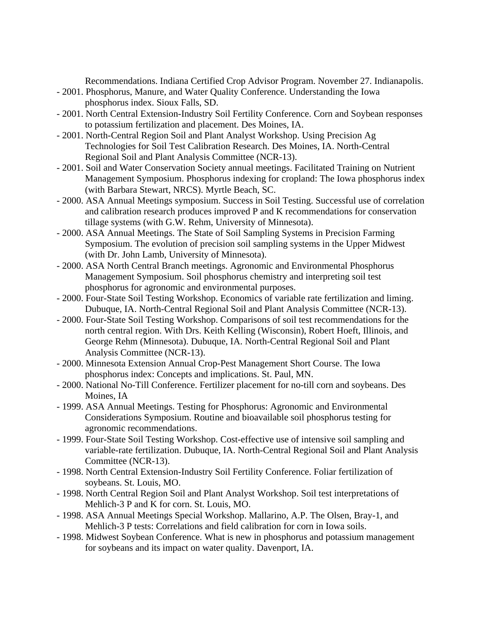Recommendations. Indiana Certified Crop Advisor Program. November 27. Indianapolis.

- 2001. Phosphorus, Manure, and Water Quality Conference. Understanding the Iowa phosphorus index. Sioux Falls, SD.
- 2001. North Central Extension-Industry Soil Fertility Conference. Corn and Soybean responses to potassium fertilization and placement. Des Moines, IA.
- 2001. North-Central Region Soil and Plant Analyst Workshop. Using Precision Ag Technologies for Soil Test Calibration Research. Des Moines, IA. North-Central Regional Soil and Plant Analysis Committee (NCR-13).
- 2001. Soil and Water Conservation Society annual meetings. Facilitated Training on Nutrient Management Symposium. Phosphorus indexing for cropland: The Iowa phosphorus index (with Barbara Stewart, NRCS). Myrtle Beach, SC.
- 2000. ASA Annual Meetings symposium. Success in Soil Testing. Successful use of correlation and calibration research produces improved P and K recommendations for conservation tillage systems (with G.W. Rehm, University of Minnesota).
- 2000. ASA Annual Meetings. The State of Soil Sampling Systems in Precision Farming Symposium. The evolution of precision soil sampling systems in the Upper Midwest (with Dr. John Lamb, University of Minnesota).
- 2000. ASA North Central Branch meetings. Agronomic and Environmental Phosphorus Management Symposium. Soil phosphorus chemistry and interpreting soil test phosphorus for agronomic and environmental purposes.
- 2000. Four-State Soil Testing Workshop. Economics of variable rate fertilization and liming. Dubuque, IA. North-Central Regional Soil and Plant Analysis Committee (NCR-13).
- 2000. Four-State Soil Testing Workshop. Comparisons of soil test recommendations for the north central region. With Drs. Keith Kelling (Wisconsin), Robert Hoeft, Illinois, and George Rehm (Minnesota). Dubuque, IA. North-Central Regional Soil and Plant Analysis Committee (NCR-13).
- 2000. Minnesota Extension Annual Crop-Pest Management Short Course. The Iowa phosphorus index: Concepts and implications. St. Paul, MN.
- 2000. National No-Till Conference. Fertilizer placement for no-till corn and soybeans. Des Moines, IA
- 1999. ASA Annual Meetings. Testing for Phosphorus: Agronomic and Environmental Considerations Symposium. Routine and bioavailable soil phosphorus testing for agronomic recommendations.
- 1999. Four-State Soil Testing Workshop. Cost-effective use of intensive soil sampling and variable-rate fertilization. Dubuque, IA. North-Central Regional Soil and Plant Analysis Committee (NCR-13).
- 1998. North Central Extension-Industry Soil Fertility Conference. Foliar fertilization of soybeans. St. Louis, MO.
- 1998. North Central Region Soil and Plant Analyst Workshop. Soil test interpretations of Mehlich-3 P and K for corn. St. Louis, MO.
- 1998. ASA Annual Meetings Special Workshop. Mallarino, A.P. The Olsen, Bray-1, and Mehlich-3 P tests: Correlations and field calibration for corn in Iowa soils.
- 1998. Midwest Soybean Conference. What is new in phosphorus and potassium management for soybeans and its impact on water quality. Davenport, IA.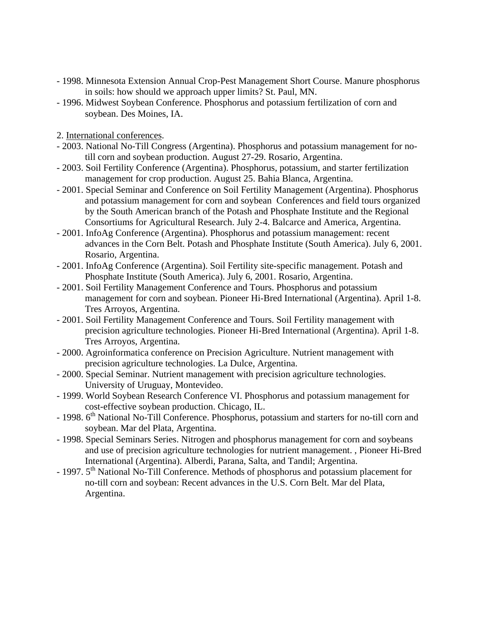- 1998. Minnesota Extension Annual Crop-Pest Management Short Course. Manure phosphorus in soils: how should we approach upper limits? St. Paul, MN.
- 1996. Midwest Soybean Conference. Phosphorus and potassium fertilization of corn and soybean. Des Moines, IA.
- 2. International conferences.
- 2003. National No-Till Congress (Argentina). Phosphorus and potassium management for notill corn and soybean production. August 27-29. Rosario, Argentina.
- 2003. Soil Fertility Conference (Argentina). Phosphorus, potassium, and starter fertilization management for crop production. August 25. Bahia Blanca, Argentina.
- 2001. Special Seminar and Conference on Soil Fertility Management (Argentina). Phosphorus and potassium management for corn and soybean Conferences and field tours organized by the South American branch of the Potash and Phosphate Institute and the Regional Consortiums for Agricultural Research. July 2-4. Balcarce and America, Argentina.
- 2001. InfoAg Conference (Argentina). Phosphorus and potassium management: recent advances in the Corn Belt. Potash and Phosphate Institute (South America). July 6, 2001. Rosario, Argentina.
- 2001. InfoAg Conference (Argentina). Soil Fertility site-specific management. Potash and Phosphate Institute (South America). July 6, 2001. Rosario, Argentina.
- 2001. Soil Fertility Management Conference and Tours. Phosphorus and potassium management for corn and soybean. Pioneer Hi-Bred International (Argentina). April 1-8. Tres Arroyos, Argentina.
- 2001. Soil Fertility Management Conference and Tours. Soil Fertility management with precision agriculture technologies. Pioneer Hi-Bred International (Argentina). April 1-8. Tres Arroyos, Argentina.
- 2000. Agroinformatica conference on Precision Agriculture. Nutrient management with precision agriculture technologies. La Dulce, Argentina.
- 2000. Special Seminar. Nutrient management with precision agriculture technologies. University of Uruguay, Montevideo.
- 1999. World Soybean Research Conference VI. Phosphorus and potassium management for cost-effective soybean production. Chicago, IL.
- 1998.  $6<sup>th</sup>$  National No-Till Conference. Phosphorus, potassium and starters for no-till corn and soybean. Mar del Plata, Argentina.
- 1998. Special Seminars Series. Nitrogen and phosphorus management for corn and soybeans and use of precision agriculture technologies for nutrient management. , Pioneer Hi-Bred International (Argentina). Alberdi, Parana, Salta, and Tandil; Argentina.
- 1997. 5<sup>th</sup> National No-Till Conference. Methods of phosphorus and potassium placement for no-till corn and soybean: Recent advances in the U.S. Corn Belt. Mar del Plata, Argentina.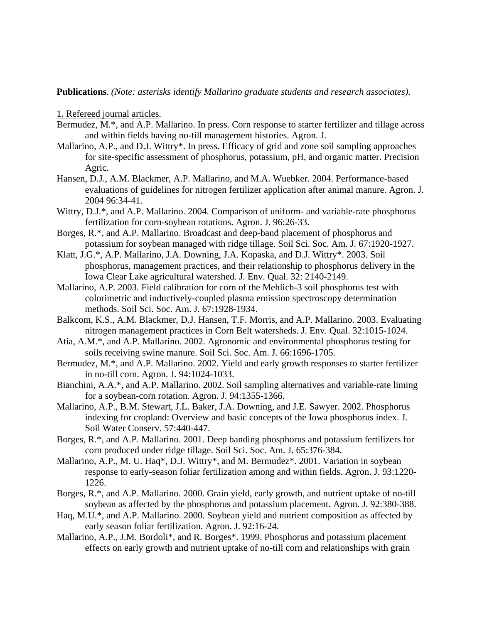**Publications**. *(Note: asterisks identify Mallarino graduate students and research associates)*.

1. Refereed journal articles.

- Bermudez, M.\*, and A.P. Mallarino. In press. Corn response to starter fertilizer and tillage across and within fields having no-till management histories. Agron. J.
- Mallarino, A.P., and D.J. Wittry\*. In press. Efficacy of grid and zone soil sampling approaches for site-specific assessment of phosphorus, potassium, pH, and organic matter. Precision Agric.
- Hansen, D.J., A.M. Blackmer, A.P. Mallarino, and M.A. Wuebker. 2004. Performance-based evaluations of guidelines for nitrogen fertilizer application after animal manure. Agron. J. 2004 96:34-41.
- Wittry, D.J.\*, and A.P. Mallarino. 2004. Comparison of uniform- and variable-rate phosphorus fertilization for corn-soybean rotations. Agron. J. 96:26-33.
- Borges, R.\*, and A.P. Mallarino. Broadcast and deep-band placement of phosphorus and potassium for soybean managed with ridge tillage. Soil Sci. Soc. Am. J. 67:1920-1927.
- Klatt, J.G.\*, A.P. Mallarino, J.A. Downing, J.A. Kopaska, and D.J. Wittry\*. 2003. Soil phosphorus, management practices, and their relationship to phosphorus delivery in the Iowa Clear Lake agricultural watershed. J. Env. Qual. 32: 2140-2149.
- Mallarino, A.P. 2003. Field calibration for corn of the Mehlich-3 soil phosphorus test with colorimetric and inductively-coupled plasma emission spectroscopy determination methods. Soil Sci. Soc. Am. J. 67:1928-1934.
- Balkcom, K.S., A.M. Blackmer, D.J. Hansen, T.F. Morris, and A.P. Mallarino. 2003. Evaluating nitrogen management practices in Corn Belt watersheds. J. Env. Qual. 32:1015-1024.
- Atia, A.M.\*, and A.P. Mallarino. 2002. Agronomic and environmental phosphorus testing for soils receiving swine manure. Soil Sci. Soc. Am. J. 66:1696-1705.
- Bermudez, M.\*, and A.P. Mallarino. 2002. Yield and early growth responses to starter fertilizer in no-till corn. Agron. J. 94:1024-1033.
- Bianchini, A.A.\*, and A.P. Mallarino. 2002. Soil sampling alternatives and variable-rate liming for a soybean-corn rotation. Agron. J. 94:1355-1366.
- Mallarino, A.P., B.M. Stewart, J.L. Baker, J.A. Downing, and J.E. Sawyer. 2002. Phosphorus indexing for cropland: Overview and basic concepts of the Iowa phosphorus index. J. Soil Water Conserv. 57:440-447.
- Borges, R.\*, and A.P. Mallarino. 2001. Deep banding phosphorus and potassium fertilizers for corn produced under ridge tillage. Soil Sci. Soc. Am. J. 65:376-384.
- Mallarino, A.P., M. U. Haq\*, D.J. Wittry\*, and M. Bermudez\*. 2001. Variation in soybean response to early-season foliar fertilization among and within fields. Agron. J. 93:1220- 1226.
- Borges, R.\*, and A.P. Mallarino. 2000. Grain yield, early growth, and nutrient uptake of no-till soybean as affected by the phosphorus and potassium placement. Agron. J. 92:380-388.
- Haq, M.U.\*, and A.P. Mallarino. 2000. Soybean yield and nutrient composition as affected by early season foliar fertilization. Agron. J. 92:16-24.
- Mallarino, A.P., J.M. Bordoli\*, and R. Borges\*. 1999. Phosphorus and potassium placement effects on early growth and nutrient uptake of no-till corn and relationships with grain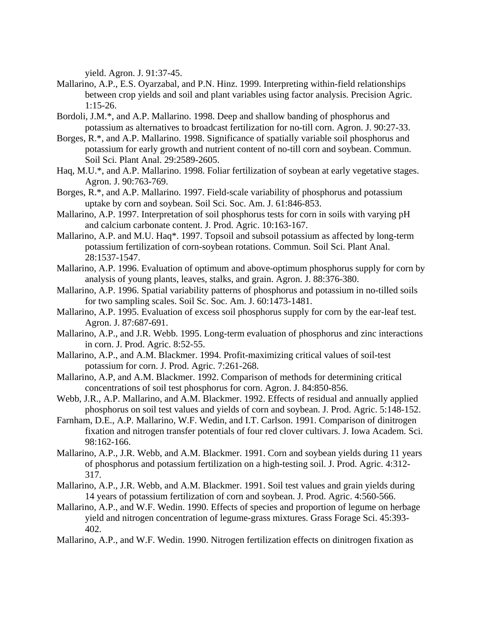yield. Agron. J. 91:37-45.

- Mallarino, A.P., E.S. Oyarzabal, and P.N. Hinz. 1999. Interpreting within-field relationships between crop yields and soil and plant variables using factor analysis. Precision Agric.  $1:15-26.$
- Bordoli, J.M.\*, and A.P. Mallarino. 1998. Deep and shallow banding of phosphorus and potassium as alternatives to broadcast fertilization for no-till corn. Agron. J. 90:27-33.
- Borges, R.\*, and A.P. Mallarino. 1998. Significance of spatially variable soil phosphorus and potassium for early growth and nutrient content of no-till corn and soybean. Commun. Soil Sci. Plant Anal. 29:2589-2605.
- Haq, M.U.\*, and A.P. Mallarino. 1998. Foliar fertilization of soybean at early vegetative stages. Agron. J. 90:763-769.
- Borges, R.\*, and A.P. Mallarino. 1997. Field-scale variability of phosphorus and potassium uptake by corn and soybean. Soil Sci. Soc. Am. J. 61:846-853.
- Mallarino, A.P. 1997. Interpretation of soil phosphorus tests for corn in soils with varying pH and calcium carbonate content. J. Prod. Agric. 10:163-167.
- Mallarino, A.P. and M.U. Haq\*. 1997. Topsoil and subsoil potassium as affected by long-term potassium fertilization of corn-soybean rotations. Commun. Soil Sci. Plant Anal. 28:1537-1547.
- Mallarino, A.P. 1996. Evaluation of optimum and above-optimum phosphorus supply for corn by analysis of young plants, leaves, stalks, and grain. Agron. J. 88:376-380.
- Mallarino, A.P. 1996. Spatial variability patterns of phosphorus and potassium in no-tilled soils for two sampling scales. Soil Sc. Soc. Am. J. 60:1473-1481.
- Mallarino, A.P. 1995. Evaluation of excess soil phosphorus supply for corn by the ear-leaf test. Agron. J. 87:687-691.
- Mallarino, A.P., and J.R. Webb. 1995. Long-term evaluation of phosphorus and zinc interactions in corn. J. Prod. Agric. 8:52-55.
- Mallarino, A.P., and A.M. Blackmer. 1994. Profit-maximizing critical values of soil-test potassium for corn. J. Prod. Agric. 7:261-268.
- Mallarino, A.P, and A.M. Blackmer. 1992. Comparison of methods for determining critical concentrations of soil test phosphorus for corn. Agron. J. 84:850-856.
- Webb, J.R., A.P. Mallarino, and A.M. Blackmer. 1992. Effects of residual and annually applied phosphorus on soil test values and yields of corn and soybean. J. Prod. Agric. 5:148-152.
- Farnham, D.E., A.P. Mallarino, W.F. Wedin, and I.T. Carlson. 1991. Comparison of dinitrogen fixation and nitrogen transfer potentials of four red clover cultivars. J. Iowa Academ. Sci. 98:162-166.
- Mallarino, A.P., J.R. Webb, and A.M. Blackmer. 1991. Corn and soybean yields during 11 years of phosphorus and potassium fertilization on a high-testing soil. J. Prod. Agric. 4:312- 317.
- Mallarino, A.P., J.R. Webb, and A.M. Blackmer. 1991. Soil test values and grain yields during 14 years of potassium fertilization of corn and soybean. J. Prod. Agric. 4:560-566.
- Mallarino, A.P., and W.F. Wedin. 1990. Effects of species and proportion of legume on herbage yield and nitrogen concentration of legume-grass mixtures. Grass Forage Sci. 45:393- 402.
- Mallarino, A.P., and W.F. Wedin. 1990. Nitrogen fertilization effects on dinitrogen fixation as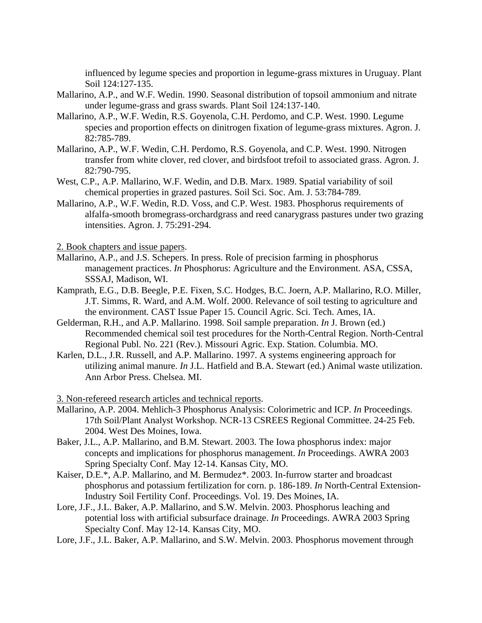influenced by legume species and proportion in legume-grass mixtures in Uruguay. Plant Soil 124:127-135.

- Mallarino, A.P., and W.F. Wedin. 1990. Seasonal distribution of topsoil ammonium and nitrate under legume-grass and grass swards. Plant Soil 124:137-140.
- Mallarino, A.P., W.F. Wedin, R.S. Goyenola, C.H. Perdomo, and C.P. West. 1990. Legume species and proportion effects on dinitrogen fixation of legume-grass mixtures. Agron. J. 82:785-789.
- Mallarino, A.P., W.F. Wedin, C.H. Perdomo, R.S. Goyenola, and C.P. West. 1990. Nitrogen transfer from white clover, red clover, and birdsfoot trefoil to associated grass. Agron. J. 82:790-795.
- West, C.P., A.P. Mallarino, W.F. Wedin, and D.B. Marx. 1989. Spatial variability of soil chemical properties in grazed pastures. Soil Sci. Soc. Am. J. 53:784-789.
- Mallarino, A.P., W.F. Wedin, R.D. Voss, and C.P. West. 1983. Phosphorus requirements of alfalfa-smooth bromegrass-orchardgrass and reed canarygrass pastures under two grazing intensities. Agron. J. 75:291-294.

2. Book chapters and issue papers.

- Mallarino, A.P., and J.S. Schepers. In press. Role of precision farming in phosphorus management practices. *In* Phosphorus: Agriculture and the Environment. ASA, CSSA, SSSAJ, Madison, WI.
- Kamprath, E.G., D.B. Beegle, P.E. Fixen, S.C. Hodges, B.C. Joern, A.P. Mallarino, R.O. Miller, J.T. Simms, R. Ward, and A.M. Wolf. 2000. Relevance of soil testing to agriculture and the environment. CAST Issue Paper 15. Council Agric. Sci. Tech. Ames, IA.
- Gelderman, R.H., and A.P. Mallarino. 1998. Soil sample preparation. *In* J. Brown (ed.) Recommended chemical soil test procedures for the North-Central Region. North-Central Regional Publ. No. 221 (Rev.). Missouri Agric. Exp. Station. Columbia. MO.
- Karlen, D.L., J.R. Russell, and A.P. Mallarino. 1997. A systems engineering approach for utilizing animal manure. *In* J.L. Hatfield and B.A. Stewart (ed.) Animal waste utilization. Ann Arbor Press. Chelsea. MI.

3. Non-refereed research articles and technical reports.

- Mallarino, A.P. 2004. Mehlich-3 Phosphorus Analysis: Colorimetric and ICP. *In* Proceedings. 17th Soil/Plant Analyst Workshop. NCR-13 CSREES Regional Committee. 24-25 Feb. 2004. West Des Moines, Iowa.
- Baker, J.L., A.P. Mallarino, and B.M. Stewart. 2003. The Iowa phosphorus index: major concepts and implications for phosphorus management. *In* Proceedings. AWRA 2003 Spring Specialty Conf. May 12-14. Kansas City, MO.
- Kaiser, D.E.\*, A.P. Mallarino, and M. Bermudez\*. 2003. In-furrow starter and broadcast phosphorus and potassium fertilization for corn. p. 186-189. *In* North-Central Extension-Industry Soil Fertility Conf. Proceedings. Vol. 19. Des Moines, IA.
- Lore, J.F., J.L. Baker, A.P. Mallarino, and S.W. Melvin. 2003. Phosphorus leaching and potential loss with artificial subsurface drainage. *In* Proceedings. AWRA 2003 Spring Specialty Conf. May 12-14. Kansas City, MO.
- Lore, J.F., J.L. Baker, A.P. Mallarino, and S.W. Melvin. 2003. Phosphorus movement through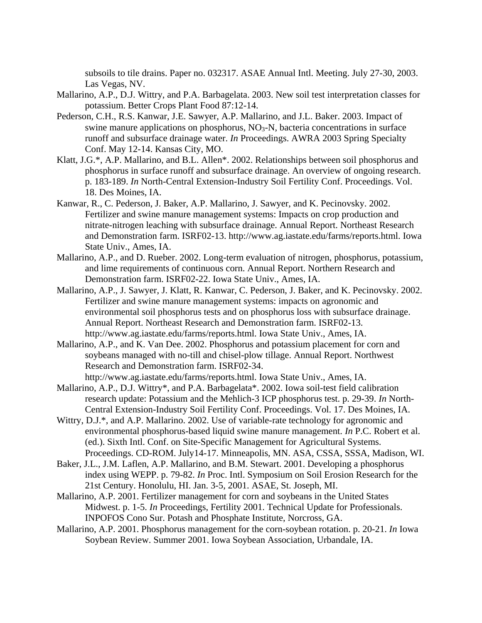subsoils to tile drains. Paper no. 032317. ASAE Annual Intl. Meeting. July 27-30, 2003. Las Vegas, NV.

- Mallarino, A.P., D.J. Wittry, and P.A. Barbagelata. 2003. New soil test interpretation classes for potassium. Better Crops Plant Food 87:12-14.
- Pederson, C.H., R.S. Kanwar, J.E. Sawyer, A.P. Mallarino, and J.L. Baker. 2003. Impact of swine manure applications on phosphorus,  $NO<sub>3</sub>-N$ , bacteria concentrations in surface runoff and subsurface drainage water. *In* Proceedings. AWRA 2003 Spring Specialty Conf. May 12-14. Kansas City, MO.
- Klatt, J.G.\*, A.P. Mallarino, and B.L. Allen\*. 2002. Relationships between soil phosphorus and phosphorus in surface runoff and subsurface drainage. An overview of ongoing research. p. 183-189. *In* North-Central Extension-Industry Soil Fertility Conf. Proceedings. Vol. 18. Des Moines, IA.
- Kanwar, R., C. Pederson, J. Baker, A.P. Mallarino, J. Sawyer, and K. Pecinovsky. 2002. Fertilizer and swine manure management systems: Impacts on crop production and nitrate-nitrogen leaching with subsurface drainage. Annual Report. Northeast Research and Demonstration farm. ISRF02-13. http://www.ag.iastate.edu/farms/reports.html. Iowa State Univ., Ames, IA.
- Mallarino, A.P., and D. Rueber. 2002. Long-term evaluation of nitrogen, phosphorus, potassium, and lime requirements of continuous corn. Annual Report. Northern Research and Demonstration farm. ISRF02-22. Iowa State Univ., Ames, IA.
- Mallarino, A.P., J. Sawyer, J. Klatt, R. Kanwar, C. Pederson, J. Baker, and K. Pecinovsky. 2002. Fertilizer and swine manure management systems: impacts on agronomic and environmental soil phosphorus tests and on phosphorus loss with subsurface drainage. Annual Report. Northeast Research and Demonstration farm. ISRF02-13. http://www.ag.iastate.edu/farms/reports.html. Iowa State Univ., Ames, IA.
- Mallarino, A.P., and K. Van Dee. 2002. Phosphorus and potassium placement for corn and soybeans managed with no-till and chisel-plow tillage. Annual Report. Northwest Research and Demonstration farm. ISRF02-34.

http://www.ag.iastate.edu/farms/reports.html. Iowa State Univ., Ames, IA.

- Mallarino, A.P., D.J. Wittry\*, and P.A. Barbagelata\*. 2002. Iowa soil-test field calibration research update: Potassium and the Mehlich-3 ICP phosphorus test. p. 29-39. *In* North-Central Extension-Industry Soil Fertility Conf. Proceedings. Vol. 17. Des Moines, IA.
- Wittry, D.J.<sup>\*</sup>, and A.P. Mallarino. 2002. Use of variable-rate technology for agronomic and environmental phosphorus-based liquid swine manure management. *In* P.C. Robert et al. (ed.). Sixth Intl. Conf. on Site-Specific Management for Agricultural Systems. Proceedings. CD-ROM. July14-17. Minneapolis, MN. ASA, CSSA, SSSA, Madison, WI.
- Baker, J.L., J.M. Laflen, A.P. Mallarino, and B.M. Stewart. 2001. Developing a phosphorus index using WEPP. p. 79-82. *In* Proc. Intl. Symposium on Soil Erosion Research for the 21st Century. Honolulu, HI. Jan. 3-5, 2001. ASAE, St. Joseph, MI.
- Mallarino, A.P. 2001. Fertilizer management for corn and soybeans in the United States Midwest. p. 1-5. *In* Proceedings, Fertility 2001. Technical Update for Professionals. INPOFOS Cono Sur. Potash and Phosphate Institute, Norcross, GA.
- Mallarino, A.P. 2001. Phosphorus management for the corn-soybean rotation. p. 20-21. *In* Iowa Soybean Review. Summer 2001. Iowa Soybean Association, Urbandale, IA.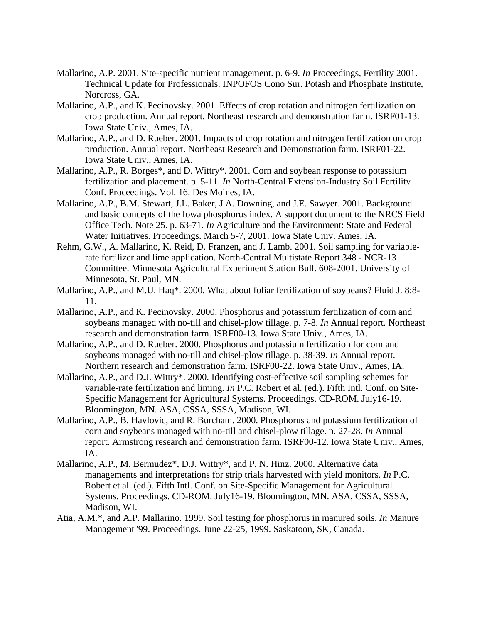- Mallarino, A.P. 2001. Site-specific nutrient management. p. 6-9. *In* Proceedings, Fertility 2001. Technical Update for Professionals. INPOFOS Cono Sur. Potash and Phosphate Institute, Norcross, GA.
- Mallarino, A.P., and K. Pecinovsky. 2001. Effects of crop rotation and nitrogen fertilization on crop production. Annual report. Northeast research and demonstration farm. ISRF01-13. Iowa State Univ., Ames, IA.
- Mallarino, A.P., and D. Rueber. 2001. Impacts of crop rotation and nitrogen fertilization on crop production. Annual report. Northeast Research and Demonstration farm. ISRF01-22. Iowa State Univ., Ames, IA.
- Mallarino, A.P., R. Borges\*, and D. Wittry\*. 2001. Corn and soybean response to potassium fertilization and placement. p. 5-11. *In* North-Central Extension-Industry Soil Fertility Conf. Proceedings. Vol. 16. Des Moines, IA.
- Mallarino, A.P., B.M. Stewart, J.L. Baker, J.A. Downing, and J.E. Sawyer. 2001. Background and basic concepts of the Iowa phosphorus index. A support document to the NRCS Field Office Tech. Note 25. p. 63-71. *In* Agriculture and the Environment: State and Federal Water Initiatives. Proceedings. March 5-7, 2001. Iowa State Univ. Ames, IA.
- Rehm, G.W., A. Mallarino, K. Reid, D. Franzen, and J. Lamb. 2001. Soil sampling for variablerate fertilizer and lime application. North-Central Multistate Report 348 - NCR-13 Committee. Minnesota Agricultural Experiment Station Bull. 608-2001. University of Minnesota, St. Paul, MN.
- Mallarino, A.P., and M.U. Haq\*. 2000. What about foliar fertilization of soybeans? Fluid J. 8:8-11.
- Mallarino, A.P., and K. Pecinovsky. 2000. Phosphorus and potassium fertilization of corn and soybeans managed with no-till and chisel-plow tillage. p. 7-8. *In* Annual report. Northeast research and demonstration farm. ISRF00-13. Iowa State Univ., Ames, IA.
- Mallarino, A.P., and D. Rueber. 2000. Phosphorus and potassium fertilization for corn and soybeans managed with no-till and chisel-plow tillage. p. 38-39. *In* Annual report. Northern research and demonstration farm. ISRF00-22. Iowa State Univ., Ames, IA.
- Mallarino, A.P., and D.J. Wittry\*. 2000. Identifying cost-effective soil sampling schemes for variable-rate fertilization and liming. *In* P.C. Robert et al. (ed.). Fifth Intl. Conf. on Site-Specific Management for Agricultural Systems. Proceedings. CD-ROM. July16-19. Bloomington, MN. ASA, CSSA, SSSA, Madison, WI.
- Mallarino, A.P., B. Havlovic, and R. Burcham. 2000. Phosphorus and potassium fertilization of corn and soybeans managed with no-till and chisel-plow tillage. p. 27-28. *In* Annual report. Armstrong research and demonstration farm. ISRF00-12. Iowa State Univ., Ames, IA.
- Mallarino, A.P., M. Bermudez\*, D.J. Wittry\*, and P. N. Hinz. 2000. Alternative data managements and interpretations for strip trials harvested with yield monitors. *In* P.C. Robert et al. (ed.). Fifth Intl. Conf. on Site-Specific Management for Agricultural Systems. Proceedings. CD-ROM. July16-19. Bloomington, MN. ASA, CSSA, SSSA, Madison, WI.
- Atia, A.M.\*, and A.P. Mallarino. 1999. Soil testing for phosphorus in manured soils. *In* Manure Management '99. Proceedings. June 22-25, 1999. Saskatoon, SK, Canada.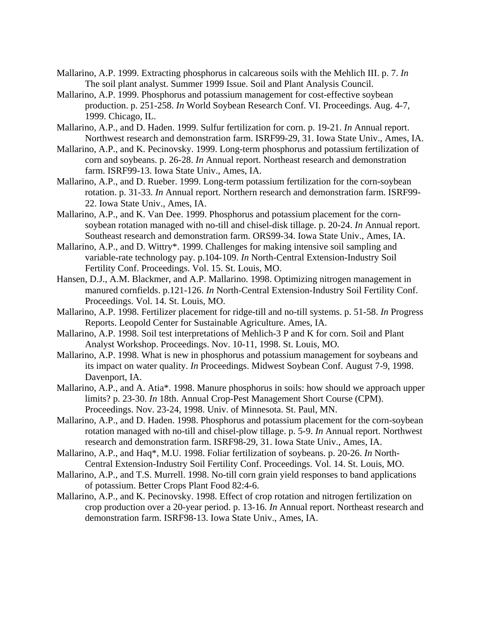- Mallarino, A.P. 1999. Extracting phosphorus in calcareous soils with the Mehlich III. p. 7. *In* The soil plant analyst. Summer 1999 Issue. Soil and Plant Analysis Council.
- Mallarino, A.P. 1999. Phosphorus and potassium management for cost-effective soybean production. p. 251-258. *In* World Soybean Research Conf. VI. Proceedings. Aug. 4-7, 1999. Chicago, IL.
- Mallarino, A.P., and D. Haden. 1999. Sulfur fertilization for corn. p. 19-21. *In* Annual report. Northwest research and demonstration farm. ISRF99-29, 31. Iowa State Univ., Ames, IA.
- Mallarino, A.P., and K. Pecinovsky. 1999. Long-term phosphorus and potassium fertilization of corn and soybeans. p. 26-28. *In* Annual report. Northeast research and demonstration farm. ISRF99-13. Iowa State Univ., Ames, IA.
- Mallarino, A.P., and D. Rueber. 1999. Long-term potassium fertilization for the corn-soybean rotation. p. 31-33. *In* Annual report. Northern research and demonstration farm. ISRF99- 22. Iowa State Univ., Ames, IA.
- Mallarino, A.P., and K. Van Dee. 1999. Phosphorus and potassium placement for the cornsoybean rotation managed with no-till and chisel-disk tillage. p. 20-24. *In* Annual report. Southeast research and demonstration farm. ORS99-34. Iowa State Univ., Ames, IA.
- Mallarino, A.P., and D. Wittry\*. 1999. Challenges for making intensive soil sampling and variable-rate technology pay. p.104-109. *In* North-Central Extension-Industry Soil Fertility Conf. Proceedings. Vol. 15. St. Louis, MO.
- Hansen, D.J., A.M. Blackmer, and A.P. Mallarino. 1998. Optimizing nitrogen management in manured cornfields. p.121-126. *In* North-Central Extension-Industry Soil Fertility Conf. Proceedings. Vol. 14. St. Louis, MO.
- Mallarino, A.P. 1998. Fertilizer placement for ridge-till and no-till systems. p. 51-58. *In* Progress Reports. Leopold Center for Sustainable Agriculture. Ames, IA.
- Mallarino, A.P. 1998. Soil test interpretations of Mehlich-3 P and K for corn. Soil and Plant Analyst Workshop. Proceedings. Nov. 10-11, 1998. St. Louis, MO.
- Mallarino, A.P. 1998. What is new in phosphorus and potassium management for soybeans and its impact on water quality. *In* Proceedings. Midwest Soybean Conf. August 7-9, 1998. Davenport, IA.
- Mallarino, A.P., and A. Atia\*. 1998. Manure phosphorus in soils: how should we approach upper limits? p. 23-30. *In* 18th. Annual Crop-Pest Management Short Course (CPM). Proceedings. Nov. 23-24, 1998. Univ. of Minnesota. St. Paul, MN.
- Mallarino, A.P., and D. Haden. 1998. Phosphorus and potassium placement for the corn-soybean rotation managed with no-till and chisel-plow tillage. p. 5-9. *In* Annual report. Northwest research and demonstration farm. ISRF98-29, 31. Iowa State Univ., Ames, IA.
- Mallarino, A.P., and Haq\*, M.U. 1998. Foliar fertilization of soybeans. p. 20-26. *In* North-Central Extension-Industry Soil Fertility Conf. Proceedings. Vol. 14. St. Louis, MO.
- Mallarino, A.P., and T.S. Murrell. 1998. No-till corn grain yield responses to band applications of potassium. Better Crops Plant Food 82:4-6.
- Mallarino, A.P., and K. Pecinovsky. 1998. Effect of crop rotation and nitrogen fertilization on crop production over a 20-year period. p. 13-16. *In* Annual report. Northeast research and demonstration farm. ISRF98-13. Iowa State Univ., Ames, IA.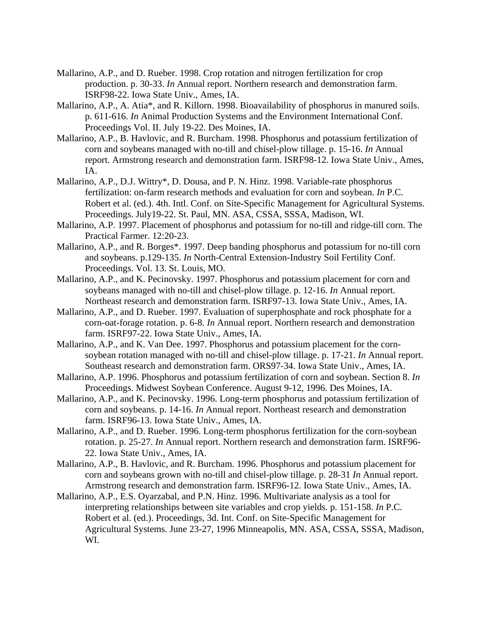- Mallarino, A.P., and D. Rueber. 1998. Crop rotation and nitrogen fertilization for crop production. p. 30-33. *In* Annual report. Northern research and demonstration farm. ISRF98-22. Iowa State Univ., Ames, IA.
- Mallarino, A.P., A. Atia\*, and R. Killorn. 1998. Bioavailability of phosphorus in manured soils. p. 611-616. *In* Animal Production Systems and the Environment International Conf. Proceedings Vol. II. July 19-22. Des Moines, IA.
- Mallarino, A.P., B. Havlovic, and R. Burcham. 1998. Phosphorus and potassium fertilization of corn and soybeans managed with no-till and chisel-plow tillage. p. 15-16. *In* Annual report. Armstrong research and demonstration farm. ISRF98-12. Iowa State Univ., Ames, IA.
- Mallarino, A.P., D.J. Wittry\*, D. Dousa, and P. N. Hinz. 1998. Variable-rate phosphorus fertilization: on-farm research methods and evaluation for corn and soybean. *In* P.C. Robert et al. (ed.). 4th. Intl. Conf. on Site-Specific Management for Agricultural Systems. Proceedings. July19-22. St. Paul, MN. ASA, CSSA, SSSA, Madison, WI.
- Mallarino, A.P. 1997. Placement of phosphorus and potassium for no-till and ridge-till corn. The Practical Farmer. 12:20-23.
- Mallarino, A.P., and R. Borges\*. 1997. Deep banding phosphorus and potassium for no-till corn and soybeans. p.129-135. *In* North-Central Extension-Industry Soil Fertility Conf. Proceedings. Vol. 13. St. Louis, MO.
- Mallarino, A.P., and K. Pecinovsky. 1997. Phosphorus and potassium placement for corn and soybeans managed with no-till and chisel-plow tillage. p. 12-16. *In* Annual report. Northeast research and demonstration farm. ISRF97-13. Iowa State Univ., Ames, IA.
- Mallarino, A.P., and D. Rueber. 1997. Evaluation of superphosphate and rock phosphate for a corn-oat-forage rotation. p. 6-8. *In* Annual report. Northern research and demonstration farm. ISRF97-22. Iowa State Univ., Ames, IA.
- Mallarino, A.P., and K. Van Dee. 1997. Phosphorus and potassium placement for the cornsoybean rotation managed with no-till and chisel-plow tillage. p. 17-21. *In* Annual report. Southeast research and demonstration farm. ORS97-34. Iowa State Univ., Ames, IA.
- Mallarino, A.P. 1996. Phosphorus and potassium fertilization of corn and soybean. Section 8. *In* Proceedings. Midwest Soybean Conference. August 9-12, 1996. Des Moines, IA.
- Mallarino, A.P., and K. Pecinovsky. 1996. Long-term phosphorus and potassium fertilization of corn and soybeans. p. 14-16. *In* Annual report. Northeast research and demonstration farm. ISRF96-13. Iowa State Univ., Ames, IA.
- Mallarino, A.P., and D. Rueber. 1996. Long-term phosphorus fertilization for the corn-soybean rotation. p. 25-27. *In* Annual report. Northern research and demonstration farm. ISRF96- 22. Iowa State Univ., Ames, IA.
- Mallarino, A.P., B. Havlovic, and R. Burcham. 1996. Phosphorus and potassium placement for corn and soybeans grown with no-till and chisel-plow tillage. p. 28-31 *In* Annual report. Armstrong research and demonstration farm. ISRF96-12. Iowa State Univ., Ames, IA.
- Mallarino, A.P., E.S. Oyarzabal, and P.N. Hinz. 1996. Multivariate analysis as a tool for interpreting relationships between site variables and crop yields. p. 151-158. *In* P.C. Robert et al. (ed.). Proceedings, 3d. Int. Conf. on Site-Specific Management for Agricultural Systems. June 23-27, 1996 Minneapolis, MN. ASA, CSSA, SSSA, Madison, WI.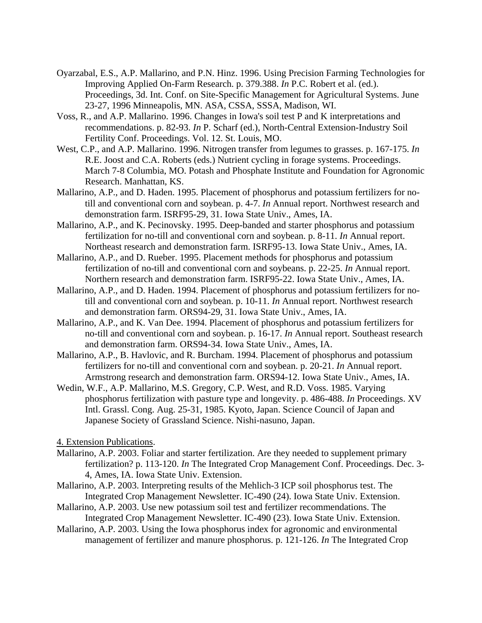- Oyarzabal, E.S., A.P. Mallarino, and P.N. Hinz. 1996. Using Precision Farming Technologies for Improving Applied On-Farm Research. p. 379.388. *In* P.C. Robert et al. (ed.). Proceedings, 3d. Int. Conf. on Site-Specific Management for Agricultural Systems. June 23-27, 1996 Minneapolis, MN. ASA, CSSA, SSSA, Madison, WI.
- Voss, R., and A.P. Mallarino. 1996. Changes in Iowa's soil test P and K interpretations and recommendations. p. 82-93. *In* P. Scharf (ed.), North-Central Extension-Industry Soil Fertility Conf. Proceedings. Vol. 12. St. Louis, MO.
- West, C.P., and A.P. Mallarino. 1996. Nitrogen transfer from legumes to grasses. p. 167-175. *In* R.E. Joost and C.A. Roberts (eds.) Nutrient cycling in forage systems. Proceedings. March 7-8 Columbia, MO. Potash and Phosphate Institute and Foundation for Agronomic Research. Manhattan, KS.
- Mallarino, A.P., and D. Haden. 1995. Placement of phosphorus and potassium fertilizers for notill and conventional corn and soybean. p. 4-7. *In* Annual report. Northwest research and demonstration farm. ISRF95-29, 31. Iowa State Univ., Ames, IA.
- Mallarino, A.P., and K. Pecinovsky. 1995. Deep-banded and starter phosphorus and potassium fertilization for no-till and conventional corn and soybean. p. 8-11. *In* Annual report. Northeast research and demonstration farm. ISRF95-13. Iowa State Univ., Ames, IA.
- Mallarino, A.P., and D. Rueber. 1995. Placement methods for phosphorus and potassium fertilization of no-till and conventional corn and soybeans. p. 22-25. *In* Annual report. Northern research and demonstration farm. ISRF95-22. Iowa State Univ., Ames, IA.
- Mallarino, A.P., and D. Haden. 1994. Placement of phosphorus and potassium fertilizers for notill and conventional corn and soybean. p. 10-11. *In* Annual report. Northwest research and demonstration farm. ORS94-29, 31. Iowa State Univ., Ames, IA.
- Mallarino, A.P., and K. Van Dee. 1994. Placement of phosphorus and potassium fertilizers for no-till and conventional corn and soybean. p. 16-17. *In* Annual report. Southeast research and demonstration farm. ORS94-34. Iowa State Univ., Ames, IA.
- Mallarino, A.P., B. Havlovic, and R. Burcham. 1994. Placement of phosphorus and potassium fertilizers for no-till and conventional corn and soybean. p. 20-21. *In* Annual report. Armstrong research and demonstration farm. ORS94-12. Iowa State Univ., Ames, IA.
- Wedin, W.F., A.P. Mallarino, M.S. Gregory, C.P. West, and R.D. Voss. 1985. Varying phosphorus fertilization with pasture type and longevity. p. 486-488. *In* Proceedings. XV Intl. Grassl. Cong. Aug. 25-31, 1985. Kyoto, Japan. Science Council of Japan and Japanese Society of Grassland Science. Nishi-nasuno, Japan.

4. Extension Publications.

- Mallarino, A.P. 2003. Foliar and starter fertilization. Are they needed to supplement primary fertilization? p. 113-120. *In* The Integrated Crop Management Conf. Proceedings. Dec. 3- 4, Ames, IA. Iowa State Univ. Extension.
- Mallarino, A.P. 2003. Interpreting results of the Mehlich-3 ICP soil phosphorus test. The Integrated Crop Management Newsletter. IC-490 (24). Iowa State Univ. Extension.
- Mallarino, A.P. 2003. Use new potassium soil test and fertilizer recommendations. The Integrated Crop Management Newsletter. IC-490 (23). Iowa State Univ. Extension.
- Mallarino, A.P. 2003. Using the Iowa phosphorus index for agronomic and environmental management of fertilizer and manure phosphorus. p. 121-126. *In* The Integrated Crop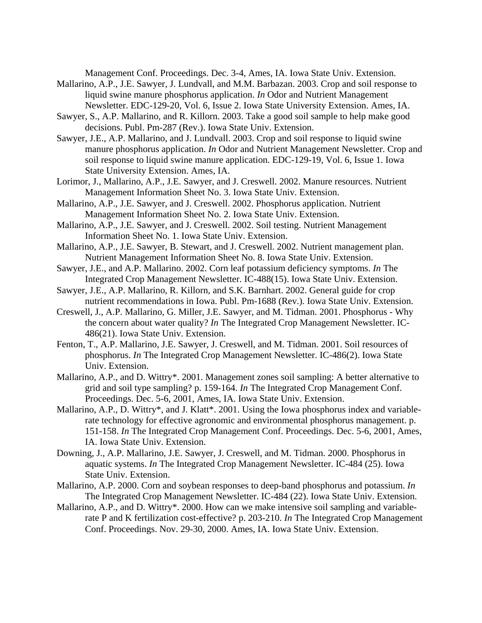Management Conf. Proceedings. Dec. 3-4, Ames, IA. Iowa State Univ. Extension.

- Mallarino, A.P., J.E. Sawyer, J. Lundvall, and M.M. Barbazan. 2003. Crop and soil response to liquid swine manure phosphorus application. *In* Odor and Nutrient Management Newsletter. EDC-129-20, Vol. 6, Issue 2. Iowa State University Extension. Ames, IA.
- Sawyer, S., A.P. Mallarino, and R. Killorn. 2003. Take a good soil sample to help make good decisions. Publ. Pm-287 (Rev.). Iowa State Univ. Extension.
- Sawyer, J.E., A.P. Mallarino, and J. Lundvall. 2003. Crop and soil response to liquid swine manure phosphorus application. *In* Odor and Nutrient Management Newsletter. Crop and soil response to liquid swine manure application. EDC-129-19, Vol. 6, Issue 1. Iowa State University Extension. Ames, IA.
- Lorimor, J., Mallarino, A.P., J.E. Sawyer, and J. Creswell. 2002. Manure resources. Nutrient Management Information Sheet No. 3. Iowa State Univ. Extension.
- Mallarino, A.P., J.E. Sawyer, and J. Creswell. 2002. Phosphorus application. Nutrient Management Information Sheet No. 2. Iowa State Univ. Extension.
- Mallarino, A.P., J.E. Sawyer, and J. Creswell. 2002. Soil testing. Nutrient Management Information Sheet No. 1. Iowa State Univ. Extension.
- Mallarino, A.P., J.E. Sawyer, B. Stewart, and J. Creswell. 2002. Nutrient management plan. Nutrient Management Information Sheet No. 8. Iowa State Univ. Extension.
- Sawyer, J.E., and A.P. Mallarino. 2002. Corn leaf potassium deficiency symptoms. *In* The Integrated Crop Management Newsletter. IC-488(15). Iowa State Univ. Extension.
- Sawyer, J.E., A.P. Mallarino, R. Killorn, and S.K. Barnhart. 2002. General guide for crop nutrient recommendations in Iowa. Publ. Pm-1688 (Rev.). Iowa State Univ. Extension.
- Creswell, J., A.P. Mallarino, G. Miller, J.E. Sawyer, and M. Tidman. 2001. Phosphorus Why the concern about water quality? *In* The Integrated Crop Management Newsletter. IC-486(21). Iowa State Univ. Extension.
- Fenton, T., A.P. Mallarino, J.E. Sawyer, J. Creswell, and M. Tidman. 2001. Soil resources of phosphorus. *In* The Integrated Crop Management Newsletter. IC-486(2). Iowa State Univ. Extension.
- Mallarino, A.P., and D. Wittry\*. 2001. Management zones soil sampling: A better alternative to grid and soil type sampling? p. 159-164. *In* The Integrated Crop Management Conf. Proceedings. Dec. 5-6, 2001, Ames, IA. Iowa State Univ. Extension.
- Mallarino, A.P., D. Wittry\*, and J. Klatt\*. 2001. Using the Iowa phosphorus index and variablerate technology for effective agronomic and environmental phosphorus management. p. 151-158. *In* The Integrated Crop Management Conf. Proceedings. Dec. 5-6, 2001, Ames, IA. Iowa State Univ. Extension.
- Downing, J., A.P. Mallarino, J.E. Sawyer, J. Creswell, and M. Tidman. 2000. Phosphorus in aquatic systems. *In* The Integrated Crop Management Newsletter. IC-484 (25). Iowa State Univ. Extension.
- Mallarino, A.P. 2000. Corn and soybean responses to deep-band phosphorus and potassium. *In* The Integrated Crop Management Newsletter. IC-484 (22). Iowa State Univ. Extension.
- Mallarino, A.P., and D. Wittry\*. 2000. How can we make intensive soil sampling and variablerate P and K fertilization cost-effective? p. 203-210. *In* The Integrated Crop Management Conf. Proceedings. Nov. 29-30, 2000. Ames, IA. Iowa State Univ. Extension.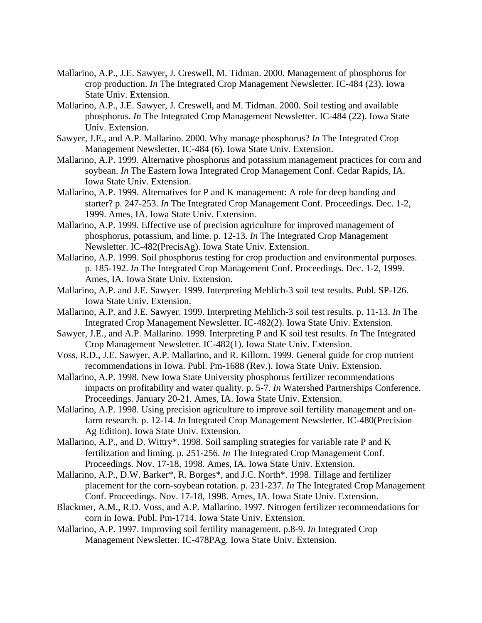- Mallarino, A.P., J.E. Sawyer, J. Creswell, M. Tidman. 2000. Management of phosphorus for crop production. *In* The Integrated Crop Management Newsletter. IC-484 (23). Iowa State Univ. Extension.
- Mallarino, A.P., J.E. Sawyer, J. Creswell, and M. Tidman. 2000. Soil testing and available phosphorus. *In* The Integrated Crop Management Newsletter. IC-484 (22). Iowa State Univ. Extension.
- Sawyer, J.E., and A.P. Mallarino. 2000. Why manage phosphorus? *In* The Integrated Crop Management Newsletter. IC-484 (6). Iowa State Univ. Extension.
- Mallarino, A.P. 1999. Alternative phosphorus and potassium management practices for corn and soybean. *In* The Eastern Iowa Integrated Crop Management Conf. Cedar Rapids, IA. Iowa State Univ. Extension.
- Mallarino, A.P. 1999. Alternatives for P and K management: A role for deep banding and starter? p. 247-253. *In* The Integrated Crop Management Conf. Proceedings. Dec. 1-2, 1999. Ames, IA. Iowa State Univ. Extension.
- Mallarino, A.P. 1999. Effective use of precision agriculture for improved management of phosphorus, potassium, and lime. p. 12-13. *In* The Integrated Crop Management Newsletter. IC-482(PrecisAg). Iowa State Univ. Extension.
- Mallarino, A.P. 1999. Soil phosphorus testing for crop production and environmental purposes. p. 185-192. *In* The Integrated Crop Management Conf. Proceedings. Dec. 1-2, 1999. Ames, IA. Iowa State Univ. Extension.
- Mallarino, A.P. and J.E. Sawyer. 1999. Interpreting Mehlich-3 soil test results. Publ. SP-126. Iowa State Univ. Extension.
- Mallarino, A.P. and J.E. Sawyer. 1999. Interpreting Mehlich-3 soil test results. p. 11-13. *In* The Integrated Crop Management Newsletter. IC-482(2). Iowa State Univ. Extension.
- Sawyer, J.E., and A.P. Mallarino. 1999. Interpreting P and K soil test results. *In* The Integrated Crop Management Newsletter. IC-482(1). Iowa State Univ. Extension.
- Voss, R.D., J.E. Sawyer, A.P. Mallarino, and R. Killorn. 1999. General guide for crop nutrient recommendations in Iowa. Publ. Pm-1688 (Rev.). Iowa State Univ. Extension.
- Mallarino, A.P. 1998. New Iowa State University phosphorus fertilizer recommendations impacts on profitability and water quality. p. 5-7. *In* Watershed Partnerships Conference. Proceedings. January 20-21. Ames, IA. Iowa State Univ. Extension.
- Mallarino, A.P. 1998. Using precision agriculture to improve soil fertility management and onfarm research. p. 12-14. *In* Integrated Crop Management Newsletter. IC-480(Precision Ag Edition). Iowa State Univ. Extension.
- Mallarino, A.P., and D. Wittry\*. 1998. Soil sampling strategies for variable rate P and K fertilization and liming. p. 251-256. *In* The Integrated Crop Management Conf. Proceedings. Nov. 17-18, 1998. Ames, IA. Iowa State Univ. Extension.
- Mallarino, A.P., D.W. Barker\*, R. Borges\*, and J.C. North\*. 1998. Tillage and fertilizer placement for the corn-soybean rotation. p. 231-237. *In* The Integrated Crop Management Conf. Proceedings. Nov. 17-18, 1998. Ames, IA. Iowa State Univ. Extension.
- Blackmer, A.M., R.D. Voss, and A.P. Mallarino. 1997. Nitrogen fertilizer recommendations for corn in Iowa. Publ. Pm-1714. Iowa State Univ. Extension.
- Mallarino, A.P. 1997. Improving soil fertility management. p.8-9. *In* Integrated Crop Management Newsletter. IC-478PAg. Iowa State Univ. Extension.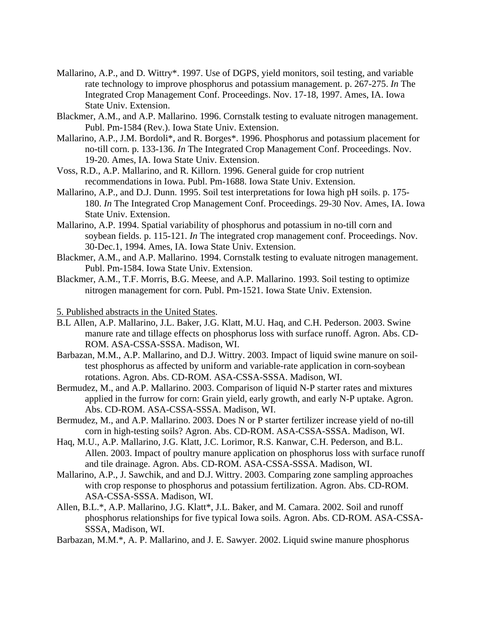- Mallarino, A.P., and D. Wittry\*. 1997. Use of DGPS, yield monitors, soil testing, and variable rate technology to improve phosphorus and potassium management. p. 267-275. *In* The Integrated Crop Management Conf. Proceedings. Nov. 17-18, 1997. Ames, IA. Iowa State Univ. Extension.
- Blackmer, A.M., and A.P. Mallarino. 1996. Cornstalk testing to evaluate nitrogen management. Publ. Pm-1584 (Rev.). Iowa State Univ. Extension.
- Mallarino, A.P., J.M. Bordoli\*, and R. Borges\*. 1996. Phosphorus and potassium placement for no-till corn. p. 133-136. *In* The Integrated Crop Management Conf. Proceedings. Nov. 19-20. Ames, IA. Iowa State Univ. Extension.
- Voss, R.D., A.P. Mallarino, and R. Killorn. 1996. General guide for crop nutrient recommendations in Iowa. Publ. Pm-1688. Iowa State Univ. Extension.
- Mallarino, A.P., and D.J. Dunn. 1995. Soil test interpretations for Iowa high pH soils. p. 175- 180. *In* The Integrated Crop Management Conf. Proceedings. 29-30 Nov. Ames, IA. Iowa State Univ. Extension.
- Mallarino, A.P. 1994. Spatial variability of phosphorus and potassium in no-till corn and soybean fields. p. 115-121. *In* The integrated crop management conf. Proceedings. Nov. 30-Dec.1, 1994. Ames, IA. Iowa State Univ. Extension.
- Blackmer, A.M., and A.P. Mallarino. 1994. Cornstalk testing to evaluate nitrogen management. Publ. Pm-1584. Iowa State Univ. Extension.
- Blackmer, A.M., T.F. Morris, B.G. Meese, and A.P. Mallarino. 1993. Soil testing to optimize nitrogen management for corn. Publ. Pm-1521. Iowa State Univ. Extension.

5. Published abstracts in the United States.

- B.L Allen, A.P. Mallarino, J.L. Baker, J.G. Klatt, M.U. Haq, and C.H. Pederson. 2003. Swine manure rate and tillage effects on phosphorus loss with surface runoff. Agron. Abs. CD-ROM. ASA-CSSA-SSSA. Madison, WI.
- Barbazan, M.M., A.P. Mallarino, and D.J. Wittry. 2003. Impact of liquid swine manure on soiltest phosphorus as affected by uniform and variable-rate application in corn-soybean rotations. Agron. Abs. CD-ROM. ASA-CSSA-SSSA. Madison, WI.
- Bermudez, M., and A.P. Mallarino. 2003. Comparison of liquid N-P starter rates and mixtures applied in the furrow for corn: Grain yield, early growth, and early N-P uptake. Agron. Abs. CD-ROM. ASA-CSSA-SSSA. Madison, WI.
- Bermudez, M., and A.P. Mallarino. 2003. Does N or P starter fertilizer increase yield of no-till corn in high-testing soils? Agron. Abs. CD-ROM. ASA-CSSA-SSSA. Madison, WI.
- Haq, M.U., A.P. Mallarino, J.G. Klatt, J.C. Lorimor, R.S. Kanwar, C.H. Pederson, and B.L. Allen. 2003. Impact of poultry manure application on phosphorus loss with surface runoff and tile drainage. Agron. Abs. CD-ROM. ASA-CSSA-SSSA. Madison, WI.
- Mallarino, A.P., J. Sawchik, and and D.J. Wittry. 2003. Comparing zone sampling approaches with crop response to phosphorus and potassium fertilization. Agron. Abs. CD-ROM. ASA-CSSA-SSSA. Madison, WI.
- Allen, B.L.\*, A.P. Mallarino, J.G. Klatt\*, J.L. Baker, and M. Camara. 2002. Soil and runoff phosphorus relationships for five typical Iowa soils. Agron. Abs. CD-ROM. ASA-CSSA-SSSA, Madison, WI.
- Barbazan, M.M.\*, A. P. Mallarino, and J. E. Sawyer. 2002. Liquid swine manure phosphorus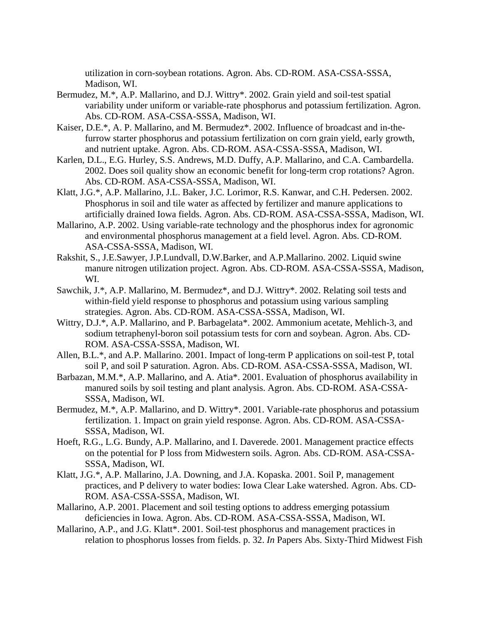utilization in corn-soybean rotations. Agron. Abs. CD-ROM. ASA-CSSA-SSSA, Madison, WI.

- Bermudez, M.\*, A.P. Mallarino, and D.J. Wittry\*. 2002. Grain yield and soil-test spatial variability under uniform or variable-rate phosphorus and potassium fertilization. Agron. Abs. CD-ROM. ASA-CSSA-SSSA, Madison, WI.
- Kaiser, D.E.\*, A. P. Mallarino, and M. Bermudez\*. 2002. Influence of broadcast and in-thefurrow starter phosphorus and potassium fertilization on corn grain yield, early growth, and nutrient uptake. Agron. Abs. CD-ROM. ASA-CSSA-SSSA, Madison, WI.
- Karlen, D.L., E.G. Hurley, S.S. Andrews, M.D. Duffy, A.P. Mallarino, and C.A. Cambardella. 2002. Does soil quality show an economic benefit for long-term crop rotations? Agron. Abs. CD-ROM. ASA-CSSA-SSSA, Madison, WI.
- Klatt, J.G.\*, A.P. Mallarino, J.L. Baker, J.C. Lorimor, R.S. Kanwar, and C.H. Pedersen. 2002. Phosphorus in soil and tile water as affected by fertilizer and manure applications to artificially drained Iowa fields. Agron. Abs. CD-ROM. ASA-CSSA-SSSA, Madison, WI.
- Mallarino, A.P. 2002. Using variable-rate technology and the phosphorus index for agronomic and environmental phosphorus management at a field level. Agron. Abs. CD-ROM. ASA-CSSA-SSSA, Madison, WI.
- Rakshit, S., J.E.Sawyer, J.P.Lundvall, D.W.Barker, and A.P.Mallarino. 2002. Liquid swine manure nitrogen utilization project. Agron. Abs. CD-ROM. ASA-CSSA-SSSA, Madison, WI.
- Sawchik, J.\*, A.P. Mallarino, M. Bermudez\*, and D.J. Wittry\*. 2002. Relating soil tests and within-field yield response to phosphorus and potassium using various sampling strategies. Agron. Abs. CD-ROM. ASA-CSSA-SSSA, Madison, WI.
- Wittry, D.J.\*, A.P. Mallarino, and P. Barbagelata\*. 2002. Ammonium acetate, Mehlich-3, and sodium tetraphenyl-boron soil potassium tests for corn and soybean. Agron. Abs. CD-ROM. ASA-CSSA-SSSA, Madison, WI.
- Allen, B.L.\*, and A.P. Mallarino. 2001. Impact of long-term P applications on soil-test P, total soil P, and soil P saturation. Agron. Abs. CD-ROM. ASA-CSSA-SSSA, Madison, WI.
- Barbazan, M.M.\*, A.P. Mallarino, and A. Atia\*. 2001. Evaluation of phosphorus availability in manured soils by soil testing and plant analysis. Agron. Abs. CD-ROM. ASA-CSSA-SSSA, Madison, WI.
- Bermudez, M.\*, A.P. Mallarino, and D. Wittry\*. 2001. Variable-rate phosphorus and potassium fertilization. 1. Impact on grain yield response. Agron. Abs. CD-ROM. ASA-CSSA-SSSA, Madison, WI.
- Hoeft, R.G., L.G. Bundy, A.P. Mallarino, and I. Daverede. 2001. Management practice effects on the potential for P loss from Midwestern soils. Agron. Abs. CD-ROM. ASA-CSSA-SSSA, Madison, WI.
- Klatt, J.G.\*, A.P. Mallarino, J.A. Downing, and J.A. Kopaska. 2001. Soil P, management practices, and P delivery to water bodies: Iowa Clear Lake watershed. Agron. Abs. CD-ROM. ASA-CSSA-SSSA, Madison, WI.
- Mallarino, A.P. 2001. Placement and soil testing options to address emerging potassium deficiencies in Iowa. Agron. Abs. CD-ROM. ASA-CSSA-SSSA, Madison, WI.
- Mallarino, A.P., and J.G. Klatt\*. 2001. Soil-test phosphorus and management practices in relation to phosphorus losses from fields. p. 32. *In* Papers Abs. Sixty-Third Midwest Fish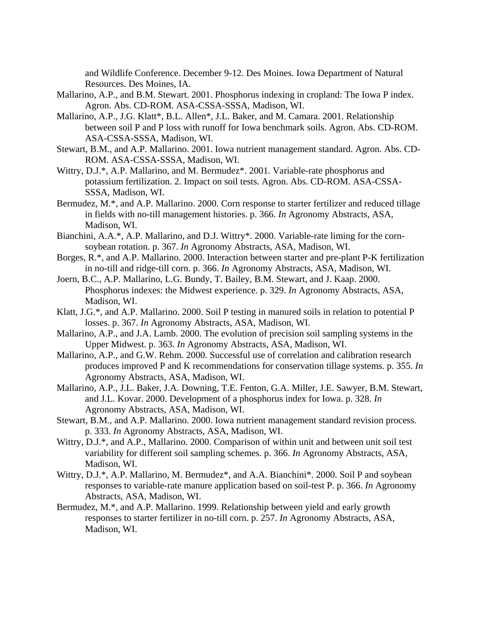and Wildlife Conference. December 9-12. Des Moines. Iowa Department of Natural Resources. Des Moines, IA.

- Mallarino, A.P., and B.M. Stewart. 2001. Phosphorus indexing in cropland: The Iowa P index. Agron. Abs. CD-ROM. ASA-CSSA-SSSA, Madison, WI.
- Mallarino, A.P., J.G. Klatt\*, B.L. Allen\*, J.L. Baker, and M. Camara. 2001. Relationship between soil P and P loss with runoff for Iowa benchmark soils. Agron. Abs. CD-ROM. ASA-CSSA-SSSA, Madison, WI.
- Stewart, B.M., and A.P. Mallarino. 2001. Iowa nutrient management standard. Agron. Abs. CD-ROM. ASA-CSSA-SSSA, Madison, WI.
- Wittry, D.J.\*, A.P. Mallarino, and M. Bermudez\*. 2001. Variable-rate phosphorus and potassium fertilization. 2. Impact on soil tests. Agron. Abs. CD-ROM. ASA-CSSA-SSSA, Madison, WI.
- Bermudez, M.\*, and A.P. Mallarino. 2000. Corn response to starter fertilizer and reduced tillage in fields with no-till management histories. p. 366. *In* Agronomy Abstracts, ASA, Madison, WI.
- Bianchini, A.A.\*, A.P. Mallarino, and D.J. Wittry\*. 2000. Variable-rate liming for the cornsoybean rotation. p. 367. *In* Agronomy Abstracts, ASA, Madison, WI.
- Borges, R.\*, and A.P. Mallarino. 2000. Interaction between starter and pre-plant P-K fertilization in no-till and ridge-till corn. p. 366. *In* Agronomy Abstracts, ASA, Madison, WI.
- Joern, B.C., A.P. Mallarino, L.G. Bundy, T. Bailey, B.M. Stewart, and J. Kaap. 2000. Phosphorus indexes: the Midwest experience. p. 329. *In* Agronomy Abstracts, ASA, Madison, WI.
- Klatt, J.G.\*, and A.P. Mallarino. 2000. Soil P testing in manured soils in relation to potential P losses. p. 367. *In* Agronomy Abstracts, ASA, Madison, WI.
- Mallarino, A.P., and J.A. Lamb. 2000. The evolution of precision soil sampling systems in the Upper Midwest. p. 363. *In* Agronomy Abstracts, ASA, Madison, WI.
- Mallarino, A.P., and G.W. Rehm. 2000. Successful use of correlation and calibration research produces improved P and K recommendations for conservation tillage systems. p. 355. *In* Agronomy Abstracts, ASA, Madison, WI.
- Mallarino, A.P., J.L. Baker, J.A. Downing, T.E. Fenton, G.A. Miller, J.E. Sawyer, B.M. Stewart, and J.L. Kovar. 2000. Development of a phosphorus index for Iowa. p. 328. *In* Agronomy Abstracts, ASA, Madison, WI.
- Stewart, B.M., and A.P. Mallarino. 2000. Iowa nutrient management standard revision process. p. 333. *In* Agronomy Abstracts, ASA, Madison, WI.
- Wittry, D.J.\*, and A.P., Mallarino. 2000. Comparison of within unit and between unit soil test variability for different soil sampling schemes. p. 366. *In* Agronomy Abstracts, ASA, Madison, WI.
- Wittry, D.J.\*, A.P. Mallarino, M. Bermudez\*, and A.A. Bianchini\*. 2000. Soil P and soybean responses to variable-rate manure application based on soil-test P. p. 366. *In* Agronomy Abstracts, ASA, Madison, WI.
- Bermudez, M.\*, and A.P. Mallarino. 1999. Relationship between yield and early growth responses to starter fertilizer in no-till corn. p. 257. *In* Agronomy Abstracts, ASA, Madison, WI.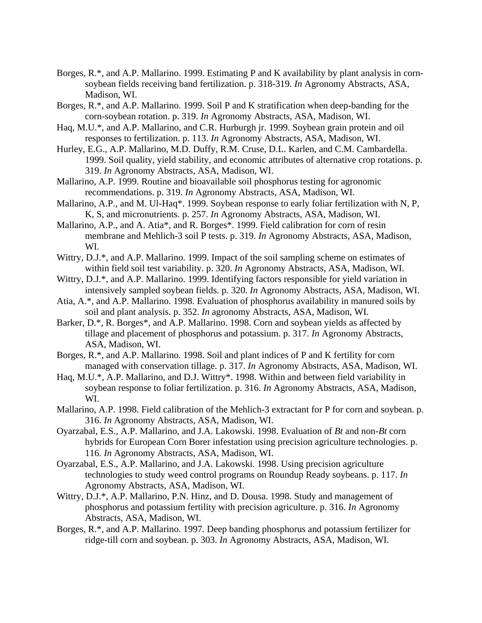- Borges, R.\*, and A.P. Mallarino. 1999. Estimating P and K availability by plant analysis in cornsoybean fields receiving band fertilization. p. 318-319. *In* Agronomy Abstracts, ASA, Madison, WI.
- Borges, R.\*, and A.P. Mallarino. 1999. Soil P and K stratification when deep-banding for the corn-soybean rotation. p. 319. *In* Agronomy Abstracts, ASA, Madison, WI.
- Haq, M.U.\*, and A.P. Mallarino, and C.R. Hurburgh jr. 1999. Soybean grain protein and oil responses to fertilization. p. 113. *In* Agronomy Abstracts, ASA, Madison, WI.
- Hurley, E.G., A.P. Mallarino, M.D. Duffy, R.M. Cruse, D.L. Karlen, and C.M. Cambardella. 1999. Soil quality, yield stability, and economic attributes of alternative crop rotations. p. 319. *In* Agronomy Abstracts, ASA, Madison, WI.
- Mallarino, A.P. 1999. Routine and bioavailable soil phosphorus testing for agronomic recommendations. p. 319. *In* Agronomy Abstracts, ASA, Madison, WI.
- Mallarino, A.P., and M. Ul-Haq\*. 1999. Soybean response to early foliar fertilization with N, P, K, S, and micronutrients. p. 257. *In* Agronomy Abstracts, ASA, Madison, WI.
- Mallarino, A.P., and A. Atia\*, and R. Borges\*. 1999. Field calibration for corn of resin membrane and Mehlich-3 soil P tests. p. 319. *In* Agronomy Abstracts, ASA, Madison, WI.
- Wittry, D.J.\*, and A.P. Mallarino. 1999. Impact of the soil sampling scheme on estimates of within field soil test variability. p. 320. *In* Agronomy Abstracts, ASA, Madison, WI.
- Wittry, D.J.\*, and A.P. Mallarino. 1999. Identifying factors responsible for yield variation in intensively sampled soybean fields. p. 320. *In* Agronomy Abstracts, ASA, Madison, WI.
- Atia, A.\*, and A.P. Mallarino. 1998. Evaluation of phosphorus availability in manured soils by soil and plant analysis. p. 352. *In* agronomy Abstracts, ASA, Madison, WI.
- Barker, D.\*, R. Borges\*, and A.P. Mallarino. 1998. Corn and soybean yields as affected by tillage and placement of phosphorus and potassium. p. 317. *In* Agronomy Abstracts, ASA, Madison, WI.
- Borges, R.<sup>\*</sup>, and A.P. Mallarino. 1998. Soil and plant indices of P and K fertility for corn managed with conservation tillage. p. 317. *In* Agronomy Abstracts, ASA, Madison, WI.
- Haq, M.U.\*, A.P. Mallarino, and D.J. Wittry\*. 1998. Within and between field variability in soybean response to foliar fertilization. p. 316. *In* Agronomy Abstracts, ASA, Madison, WI.
- Mallarino, A.P. 1998. Field calibration of the Mehlich-3 extractant for P for corn and soybean. p. 316. *In* Agronomy Abstracts, ASA, Madison, WI.
- Oyarzabal, E.S., A.P. Mallarino, and J.A. Lakowski. 1998. Evaluation of *Bt* and non-*Bt* corn hybrids for European Corn Borer infestation using precision agriculture technologies. p. 116. *In* Agronomy Abstracts, ASA, Madison, WI.
- Oyarzabal, E.S., A.P. Mallarino, and J.A. Lakowski. 1998. Using precision agriculture technologies to study weed control programs on Roundup Ready soybeans. p. 117. *In* Agronomy Abstracts, ASA, Madison, WI.
- Wittry, D.J.\*, A.P. Mallarino, P.N. Hinz, and D. Dousa. 1998. Study and management of phosphorus and potassium fertility with precision agriculture. p. 316. *In* Agronomy Abstracts, ASA, Madison, WI.
- Borges, R.\*, and A.P. Mallarino. 1997. Deep banding phosphorus and potassium fertilizer for ridge-till corn and soybean. p. 303. *In* Agronomy Abstracts, ASA, Madison, WI.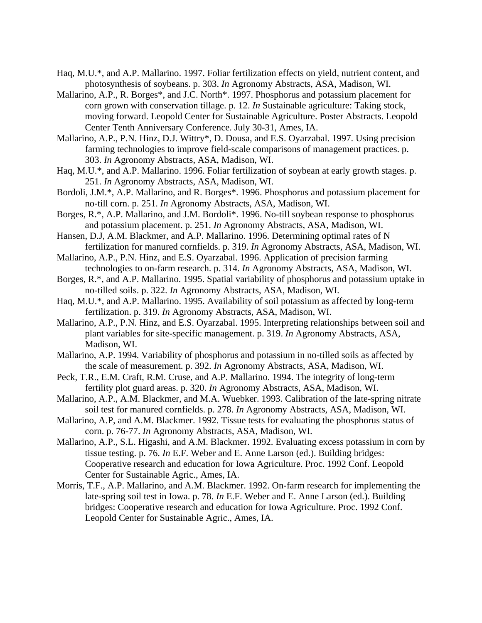- Haq, M.U.\*, and A.P. Mallarino. 1997. Foliar fertilization effects on yield, nutrient content, and photosynthesis of soybeans. p. 303. *In* Agronomy Abstracts, ASA, Madison, WI.
- Mallarino, A.P., R. Borges\*, and J.C. North\*. 1997. Phosphorus and potassium placement for corn grown with conservation tillage. p. 12. *In* Sustainable agriculture: Taking stock, moving forward. Leopold Center for Sustainable Agriculture. Poster Abstracts. Leopold Center Tenth Anniversary Conference. July 30-31, Ames, IA.
- Mallarino, A.P., P.N. Hinz, D.J. Wittry\*, D. Dousa, and E.S. Oyarzabal. 1997. Using precision farming technologies to improve field-scale comparisons of management practices. p. 303. *In* Agronomy Abstracts, ASA, Madison, WI.
- Haq, M.U.\*, and A.P. Mallarino. 1996. Foliar fertilization of soybean at early growth stages. p. 251. *In* Agronomy Abstracts, ASA, Madison, WI.
- Bordoli, J.M.\*, A.P. Mallarino, and R. Borges\*. 1996. Phosphorus and potassium placement for no-till corn. p. 251. *In* Agronomy Abstracts, ASA, Madison, WI.
- Borges, R.\*, A.P. Mallarino, and J.M. Bordoli\*. 1996. No-till soybean response to phosphorus and potassium placement. p. 251. *In* Agronomy Abstracts, ASA, Madison, WI.
- Hansen, D.J, A.M. Blackmer, and A.P. Mallarino. 1996. Determining optimal rates of N fertilization for manured cornfields. p. 319. *In* Agronomy Abstracts, ASA, Madison, WI.
- Mallarino, A.P., P.N. Hinz, and E.S. Oyarzabal. 1996. Application of precision farming technologies to on-farm research. p. 314. *In* Agronomy Abstracts, ASA, Madison, WI.
- Borges, R.\*, and A.P. Mallarino. 1995. Spatial variability of phosphorus and potassium uptake in no-tilled soils. p. 322. *In* Agronomy Abstracts, ASA, Madison, WI.
- Haq, M.U.\*, and A.P. Mallarino. 1995. Availability of soil potassium as affected by long-term fertilization. p. 319. *In* Agronomy Abstracts, ASA, Madison, WI.
- Mallarino, A.P., P.N. Hinz, and E.S. Oyarzabal. 1995. Interpreting relationships between soil and plant variables for site-specific management. p. 319. *In* Agronomy Abstracts, ASA, Madison, WI.
- Mallarino, A.P. 1994. Variability of phosphorus and potassium in no-tilled soils as affected by the scale of measurement. p. 392. *In* Agronomy Abstracts, ASA, Madison, WI.
- Peck, T.R., E.M. Craft, R.M. Cruse, and A.P. Mallarino. 1994. The integrity of long-term fertility plot guard areas. p. 320. *In* Agronomy Abstracts, ASA, Madison, WI.
- Mallarino, A.P., A.M. Blackmer, and M.A. Wuebker. 1993. Calibration of the late-spring nitrate soil test for manured cornfields. p. 278. *In* Agronomy Abstracts, ASA, Madison, WI.
- Mallarino, A.P, and A.M. Blackmer. 1992. Tissue tests for evaluating the phosphorus status of corn. p. 76-77. *In* Agronomy Abstracts, ASA, Madison, WI.
- Mallarino, A.P., S.L. Higashi, and A.M. Blackmer. 1992. Evaluating excess potassium in corn by tissue testing. p. 76. *In* E.F. Weber and E. Anne Larson (ed.). Building bridges: Cooperative research and education for Iowa Agriculture. Proc. 1992 Conf. Leopold Center for Sustainable Agric., Ames, IA.
- Morris, T.F., A.P. Mallarino, and A.M. Blackmer. 1992. On-farm research for implementing the late-spring soil test in Iowa. p. 78. *In* E.F. Weber and E. Anne Larson (ed.). Building bridges: Cooperative research and education for Iowa Agriculture. Proc. 1992 Conf. Leopold Center for Sustainable Agric., Ames, IA.